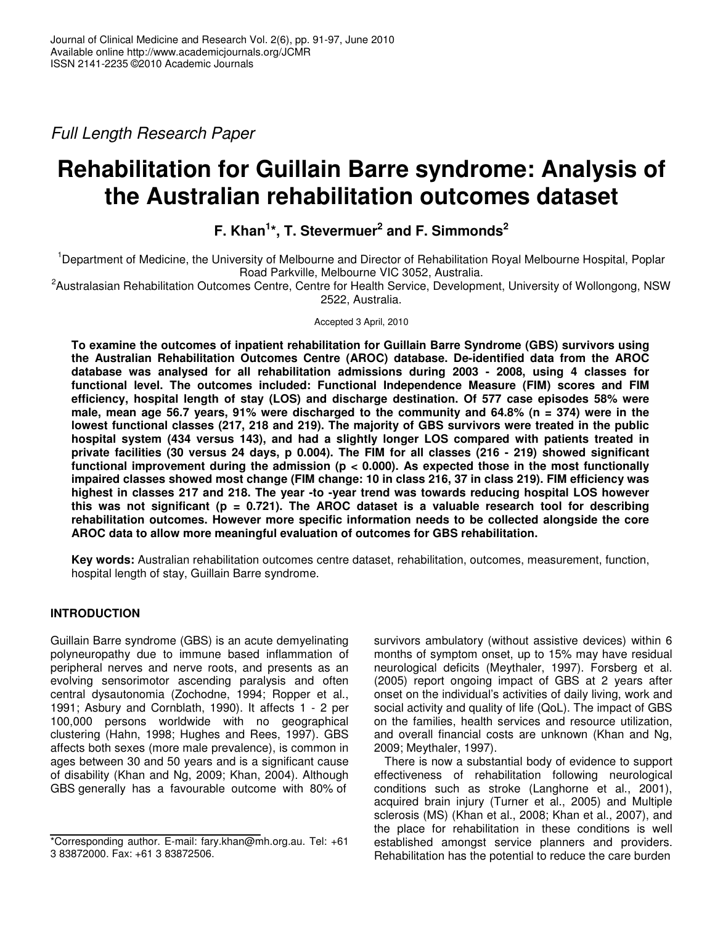Full Length Research Paper

# **Rehabilitation for Guillain Barre syndrome: Analysis of the Australian rehabilitation outcomes dataset**

# **F. Khan<sup>1</sup> \*, T. Stevermuer<sup>2</sup> and F. Simmonds<sup>2</sup>**

<sup>1</sup>Department of Medicine, the University of Melbourne and Director of Rehabilitation Royal Melbourne Hospital, Poplar Road Parkville, Melbourne VIC 3052, Australia.

<sup>2</sup>Australasian Rehabilitation Outcomes Centre, Centre for Health Service, Development, University of Wollongong, NSW 2522, Australia.

Accepted 3 April, 2010

**To examine the outcomes of inpatient rehabilitation for Guillain Barre Syndrome (GBS) survivors using the Australian Rehabilitation Outcomes Centre (AROC) database. De-identified data from the AROC database was analysed for all rehabilitation admissions during 2003 - 2008, using 4 classes for functional level. The outcomes included: Functional Independence Measure (FIM) scores and FIM efficiency, hospital length of stay (LOS) and discharge destination. Of 577 case episodes 58% were male, mean age 56.7 years, 91% were discharged to the community and 64.8% (n = 374) were in the lowest functional classes (217, 218 and 219). The majority of GBS survivors were treated in the public hospital system (434 versus 143), and had a slightly longer LOS compared with patients treated in private facilities (30 versus 24 days, p 0.004). The FIM for all classes (216 - 219) showed significant functional improvement during the admission (p < 0.000). As expected those in the most functionally impaired classes showed most change (FIM change: 10 in class 216, 37 in class 219). FIM efficiency was highest in classes 217 and 218. The year -to -year trend was towards reducing hospital LOS however this was not significant (p = 0.721). The AROC dataset is a valuable research tool for describing rehabilitation outcomes. However more specific information needs to be collected alongside the core AROC data to allow more meaningful evaluation of outcomes for GBS rehabilitation.** 

**Key words:** Australian rehabilitation outcomes centre dataset, rehabilitation, outcomes, measurement, function, hospital length of stay, Guillain Barre syndrome.

## **INTRODUCTION**

Guillain Barre syndrome (GBS) is an acute demyelinating polyneuropathy due to immune based inflammation of peripheral nerves and nerve roots, and presents as an evolving sensorimotor ascending paralysis and often central dysautonomia (Zochodne, 1994; Ropper et al., 1991; Asbury and Cornblath, 1990). It affects 1 - 2 per 100,000 persons worldwide with no geographical clustering (Hahn, 1998; Hughes and Rees, 1997). GBS affects both sexes (more male prevalence), is common in ages between 30 and 50 years and is a significant cause of disability (Khan and Ng, 2009; Khan, 2004). Although GBS generally has a favourable outcome with 80% of

survivors ambulatory (without assistive devices) within 6 months of symptom onset, up to 15% may have residual neurological deficits (Meythaler, 1997). Forsberg et al. (2005) report ongoing impact of GBS at 2 years after onset on the individual's activities of daily living, work and social activity and quality of life (QoL). The impact of GBS on the families, health services and resource utilization, and overall financial costs are unknown (Khan and Ng, 2009; Meythaler, 1997).

There is now a substantial body of evidence to support effectiveness of rehabilitation following neurological conditions such as stroke (Langhorne et al., 2001), acquired brain injury (Turner et al., 2005) and Multiple sclerosis (MS) (Khan et al., 2008; Khan et al., 2007), and the place for rehabilitation in these conditions is well established amongst service planners and providers. Rehabilitation has the potential to reduce the care burden

<sup>\*</sup>Corresponding author. E-mail: fary.khan@mh.org.au. Tel: +61 3 83872000. Fax: +61 3 83872506.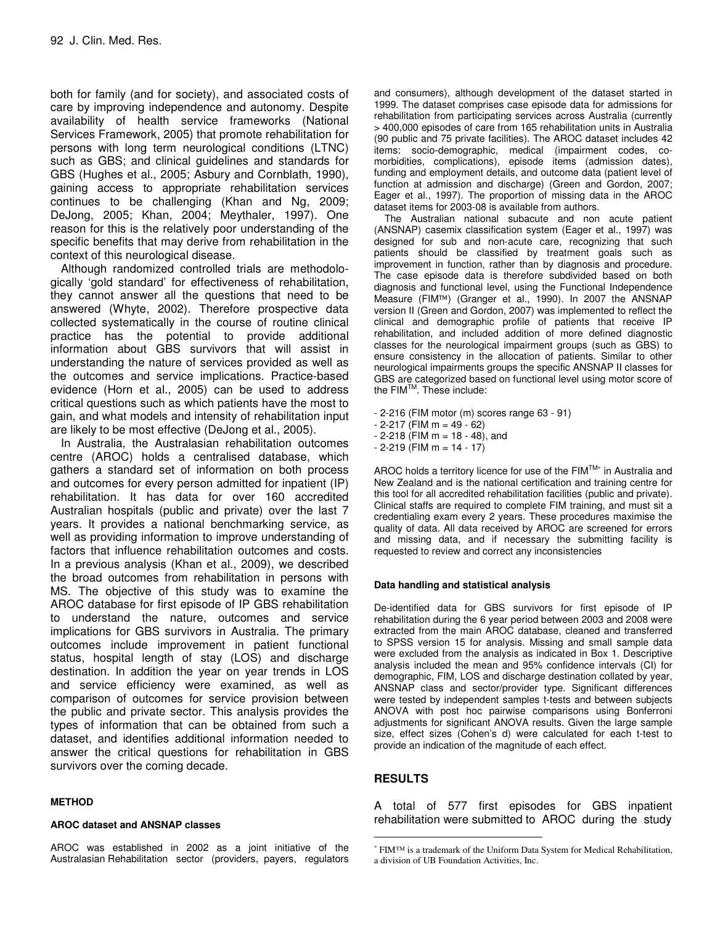both for family (and for society), and associated costs of care by improving independence and autonomy. Despite availability of health service frameworks (National Services Framework, 2005) that promote rehabilitation for persons with long term neurological conditions (LTNC) such as GBS; and clinical guidelines and standards for GBS (Hughes et al., 2005; Asbury and Cornblath, 1990), gaining access to appropriate rehabilitation services continues to be challenging (Khan and Ng, 2009; DeJong, 2005; Khan, 2004; Meythaler, 1997). One reason for this is the relatively poor understanding of the specific benefits that may derive from rehabilitation in the context of this neurological disease.

Although randomized controlled trials are methodologically 'gold standard' for effectiveness of rehabilitation, they cannot answer all the questions that need to be answered (Whyte, 2002). Therefore prospective data collected systematically in the course of routine clinical practice has the potential to provide additional information about GBS survivors that will assist in understanding the nature of services provided as well as the outcomes and service implications. Practice-based evidence (Horn et al., 2005) can be used to address critical questions such as which patients have the most to gain, and what models and intensity of rehabilitation input are likely to be most effective (DeJong et al., 2005).

In Australia, the Australasian rehabilitation outcomes centre (AROC) holds a centralised database, which gathers a standard set of information on both process and outcomes for every person admitted for inpatient (IP) rehabilitation. It has data for over 160 accredited Australian hospitals (public and private) over the last 7 years. It provides a national benchmarking service, as well as providing information to improve understanding of factors that influence rehabilitation outcomes and costs. In a previous analysis (Khan et al., 2009), we described the broad outcomes from rehabilitation in persons with MS. The objective of this study was to examine the AROC database for first episode of IP GBS rehabilitation to understand the nature, outcomes and service implications for GBS survivors in Australia. The primary outcomes include improvement in patient functional status, hospital length of stay (LOS) and discharge destination. In addition the year on year trends in LOS and service efficiency were examined, as well as comparison of outcomes for service provision between the public and private sector. This analysis provides the types of information that can be obtained from such a dataset, and identifies additional information needed to answer the critical questions for rehabilitation in GBS survivors over the coming decade.

#### **METHOD**

#### **AROC dataset and ANSNAP classes**

AROC was established in 2002 as a joint initiative of the Australasian Rehabilitation sector (providers, payers, regulators

and consumers), although development of the dataset started in 1999. The dataset comprises case episode data for admissions for rehabilitation from participating services across Australia (currently > 400,000 episodes of care from 165 rehabilitation units in Australia (90 public and 75 private facilities). The AROC dataset includes 42 items: socio-demographic, medical (impairment codes, comorbidities, complications), episode items (admission dates), funding and employment details, and outcome data (patient level of function at admission and discharge) (Green and Gordon, 2007; Eager et al., 1997). The proportion of missing data in the AROC dataset items for 2003-08 is available from authors.

The Australian national subacute and non acute patient (ANSNAP) casemix classification system (Eager et al., 1997) was designed for sub and non-acute care, recognizing that such patients should be classified by treatment goals such as improvement in function, rather than by diagnosis and procedure. The case episode data is therefore subdivided based on both diagnosis and functional level, using the Functional Independence Measure (FIM<sup>™</sup>) (Granger et al., 1990). In 2007 the ANSNAP version II (Green and Gordon, 2007) was implemented to reflect the clinical and demographic profile of patients that receive IP rehabilitation, and included addition of more defined diagnostic classes for the neurological impairment groups (such as GBS) to ensure consistency in the allocation of patients. Similar to other neurological impairments groups the specific ANSNAP II classes for GBS are categorized based on functional level using motor score of the  $FIM<sup>TM</sup>$ . These include:

- 2-216 (FIM motor (m) scores range 63 91)
- $2-217$  (FIM m = 49 62)
- $2-218$  (FIM m = 18 48), and
- $2-219$  (FIM m = 14 17)

AROC holds a territory licence for use of the  $\mathsf{FIM}^{\mathsf{TM}*}$  in Australia and New Zealand and is the national certification and training centre for this tool for all accredited rehabilitation facilities (public and private). Clinical staffs are required to complete FIM training, and must sit a credentialing exam every 2 years. These procedures maximise the quality of data. All data received by AROC are screened for errors and missing data, and if necessary the submitting facility is requested to review and correct any inconsistencies

#### **Data handling and statistical analysis**

De-identified data for GBS survivors for first episode of IP rehabilitation during the 6 year period between 2003 and 2008 were extracted from the main AROC database, cleaned and transferred to SPSS version 15 for analysis. Missing and small sample data were excluded from the analysis as indicated in Box 1. Descriptive analysis included the mean and 95% confidence intervals (CI) for demographic, FIM, LOS and discharge destination collated by year, ANSNAP class and sector/provider type. Significant differences were tested by independent samples t-tests and between subjects ANOVA with post hoc pairwise comparisons using Bonferroni adjustments for significant ANOVA results. Given the large sample size, effect sizes (Cohen's d) were calculated for each t-test to provide an indication of the magnitude of each effect.

#### **RESULTS**

 $\overline{a}$ 

A total of 577 first episodes for GBS inpatient rehabilitation were submitted to AROC during the study

<sup>∗</sup> FIM™ is a trademark of the Uniform Data System for Medical Rehabilitation, a division of UB Foundation Activities, Inc.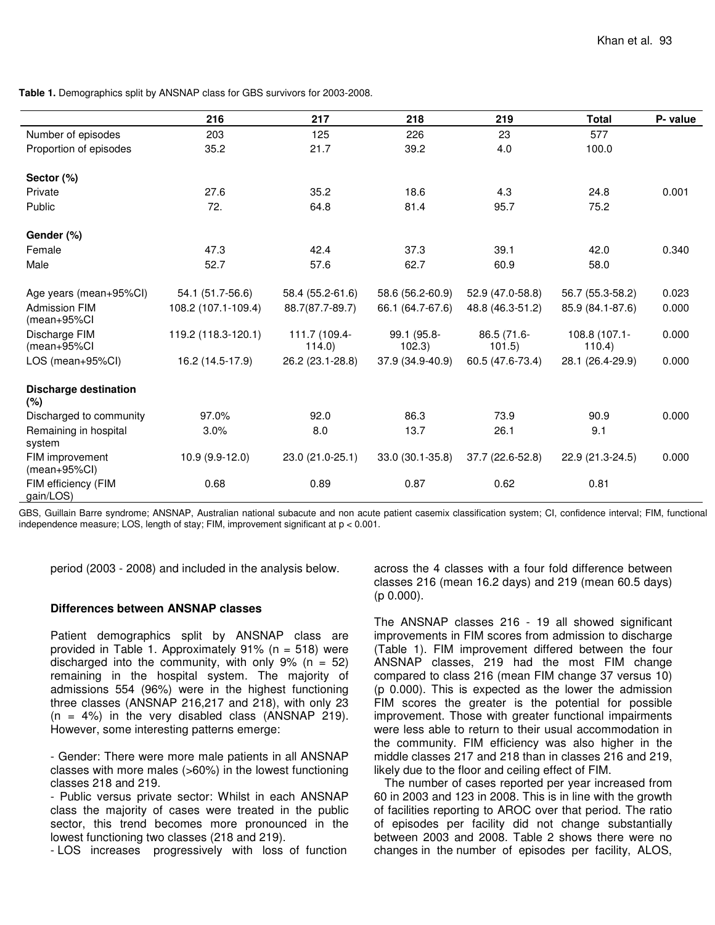**Table 1.** Demographics split by ANSNAP class for GBS survivors for 2003-2008.

|                                          | 216                 | 217                    | 218                   | 219                   | <b>Total</b>            | P- value |
|------------------------------------------|---------------------|------------------------|-----------------------|-----------------------|-------------------------|----------|
| Number of episodes                       | 203                 | 125                    | 226                   | 23                    | 577                     |          |
| Proportion of episodes                   | 35.2                | 21.7                   | 39.2                  | 4.0                   | 100.0                   |          |
| Sector (%)                               |                     |                        |                       |                       |                         |          |
| Private                                  | 27.6                | 35.2                   | 18.6                  | 4.3                   | 24.8                    | 0.001    |
| Public                                   | 72.                 | 64.8                   | 81.4                  | 95.7                  | 75.2                    |          |
| Gender (%)                               |                     |                        |                       |                       |                         |          |
| Female                                   | 47.3                | 42.4                   | 37.3                  | 39.1                  | 42.0                    | 0.340    |
| Male                                     | 52.7                | 57.6                   | 62.7                  | 60.9                  | 58.0                    |          |
| Age years (mean+95%CI)                   | 54.1 (51.7-56.6)    | 58.4 (55.2-61.6)       | 58.6 (56.2-60.9)      | 52.9 (47.0-58.8)      | 56.7 (55.3-58.2)        | 0.023    |
| <b>Admission FIM</b><br>$(mean + 95\%CI$ | 108.2 (107.1-109.4) | 88.7(87.7-89.7)        | 66.1 (64.7-67.6)      | 48.8 (46.3-51.2)      | 85.9 (84.1-87.6)        | 0.000    |
| Discharge FIM<br>(mean+95%Cl             | 119.2 (118.3-120.1) | 111.7 (109.4-<br>114.0 | 99.1 (95.8-<br>102.3) | 86.5 (71.6-<br>101.5) | 108.8 (107.1-<br>110.4) | 0.000    |
| LOS (mean+95%CI)                         | 16.2 (14.5-17.9)    | 26.2 (23.1-28.8)       | 37.9 (34.9-40.9)      | 60.5 (47.6-73.4)      | 28.1 (26.4-29.9)        | 0.000    |
| <b>Discharge destination</b><br>$(\%)$   |                     |                        |                       |                       |                         |          |
| Discharged to community                  | 97.0%               | 92.0                   | 86.3                  | 73.9                  | 90.9                    | 0.000    |
| Remaining in hospital<br>system          | 3.0%                | 8.0                    | 13.7                  | 26.1                  | 9.1                     |          |
| FIM improvement<br>$(mean+95\%CI)$       | 10.9 (9.9-12.0)     | 23.0 (21.0-25.1)       | $33.0(30.1 - 35.8)$   | 37.7 (22.6-52.8)      | 22.9 (21.3-24.5)        | 0.000    |
| FIM efficiency (FIM<br>gain/LOS)         | 0.68                | 0.89                   | 0.87                  | 0.62                  | 0.81                    |          |

GBS, Guillain Barre syndrome; ANSNAP, Australian national subacute and non acute patient casemix classification system; CI, confidence interval; FIM, functional independence measure; LOS, length of stay; FIM, improvement significant at p < 0.001.

period (2003 - 2008) and included in the analysis below.

#### **Differences between ANSNAP classes**

Patient demographics split by ANSNAP class are provided in Table 1. Approximately  $91\%$  (n = 518) were discharged into the community, with only  $9\%$  (n = 52) remaining in the hospital system. The majority of admissions 554 (96%) were in the highest functioning three classes (ANSNAP 216,217 and 218), with only 23  $(n = 4\%)$  in the very disabled class (ANSNAP 219). However, some interesting patterns emerge:

- Gender: There were more male patients in all ANSNAP classes with more males (>60%) in the lowest functioning classes 218 and 219.

- Public versus private sector: Whilst in each ANSNAP class the majority of cases were treated in the public sector, this trend becomes more pronounced in the lowest functioning two classes (218 and 219).

- LOS increases progressively with loss of function

across the 4 classes with a four fold difference between classes 216 (mean 16.2 days) and 219 (mean 60.5 days) (p 0.000).

The ANSNAP classes 216 - 19 all showed significant improvements in FIM scores from admission to discharge (Table 1). FIM improvement differed between the four ANSNAP classes, 219 had the most FIM change compared to class 216 (mean FIM change 37 versus 10) (p 0.000). This is expected as the lower the admission FIM scores the greater is the potential for possible improvement. Those with greater functional impairments were less able to return to their usual accommodation in the community. FIM efficiency was also higher in the middle classes 217 and 218 than in classes 216 and 219, likely due to the floor and ceiling effect of FIM.

The number of cases reported per year increased from 60 in 2003 and 123 in 2008. This is in line with the growth of facilities reporting to AROC over that period. The ratio of episodes per facility did not change substantially between 2003 and 2008. Table 2 shows there were no changes in the number of episodes per facility, ALOS,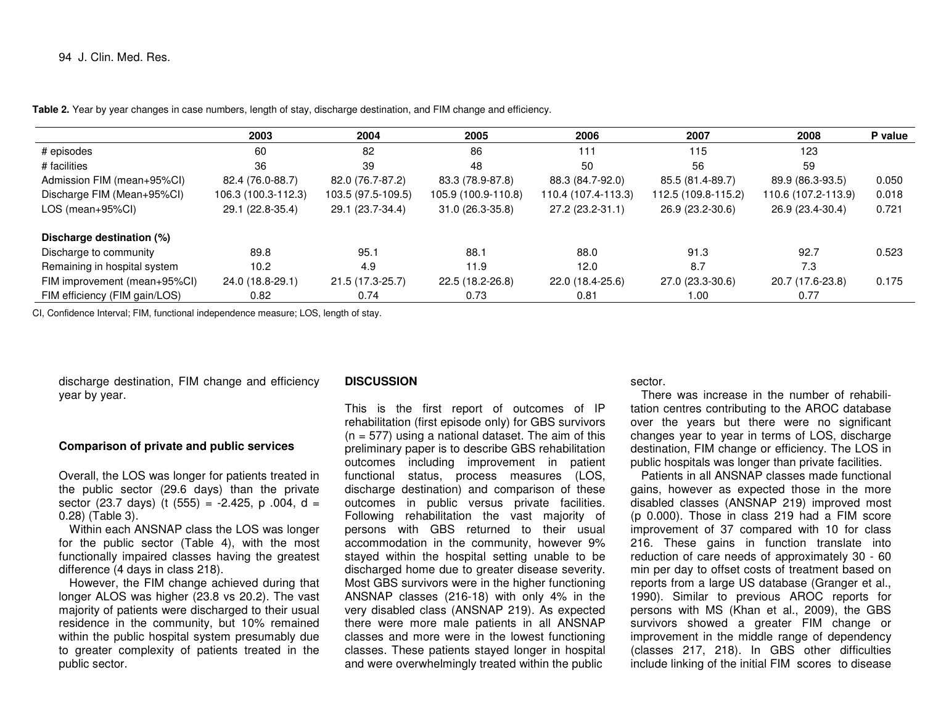**Table 2.** Year by year changes in case numbers, length of stay, discharge destination, and FIM change and efficiency.

|                               | 2003                | 2004               | 2005                | 2006                | 2007                | 2008                | P value |
|-------------------------------|---------------------|--------------------|---------------------|---------------------|---------------------|---------------------|---------|
| # episodes                    | 60                  | 82                 | 86                  | 111                 | 115                 | 123                 |         |
| # facilities                  | 36                  | 39                 | 48                  | 50                  | 56                  | 59                  |         |
| Admission FIM (mean+95%CI)    | 82.4 (76.0-88.7)    | 82.0 (76.7-87.2)   | 83.3 (78.9-87.8)    | 88.3 (84.7-92.0)    | 85.5 (81.4-89.7)    | 89.9 (86.3-93.5)    | 0.050   |
| Discharge FIM (Mean+95%CI)    | 106.3 (100.3-112.3) | 103.5 (97.5-109.5) | 105.9 (100.9-110.8) | 110.4 (107.4-113.3) | 112.5 (109.8-115.2) | 110.6 (107.2-113.9) | 0.018   |
| LOS (mean+95%CI)              | 29.1 (22.8-35.4)    | 29.1 (23.7-34.4)   | $31.0(26.3-35.8)$   | 27.2 (23.2-31.1)    | 26.9 (23.2-30.6)    | 26.9 (23.4-30.4)    | 0.721   |
| Discharge destination (%)     |                     |                    |                     |                     |                     |                     |         |
| Discharge to community        | 89.8                | 95.1               | 88.1                | 88.0                | 91.3                | 92.7                | 0.523   |
| Remaining in hospital system  | 10.2                | 4.9                | 11.9                | 12.0                | 8.7                 | 7.3                 |         |
| FIM improvement (mean+95%CI)  | 24.0 (18.8-29.1)    | 21.5 (17.3-25.7)   | 22.5 (18.2-26.8)    | 22.0 (18.4-25.6)    | 27.0 (23.3-30.6)    | 20.7 (17.6-23.8)    | 0.175   |
| FIM efficiency (FIM gain/LOS) | 0.82                | 0.74               | 0.73                | 0.81                | 1.00                | 0.77                |         |

CI, Confidence Interval; FIM, functional independence measure; LOS, length of stay.

discharge destination, FIM change and efficiency year by year.

#### **Comparison of private and public services**

Overall, the LOS was longer for patients treated in the public sector (29.6 days) than the private sector (23.7 days) (t (555) = -2.425, p .004, d = 0.28) (Table 3).

Within each ANSNAP class the LOS was longer for the public sector (Table 4), with the most functionally impaired classes having the greatest difference (4 days in class 218).

 However, the FIM change achieved during that longer ALOS was higher (23.8 vs 20.2). The vast majority of patients were discharged to their usual residence in the community, but 10% remained within the public hospital system presumably due to greater complexity of patients treated in the public sector.

#### **DISCUSSION**

This is the first report of outcomes of IP rehabilitation (first episode only) for GBS survivors (n = 577) using a national dataset. The aim of this preliminary paper is to describe GBS rehabilitation outcomes including improvement in patient functional status, process measures (LOS, discharge destination) and comparison of these outcomes in public versus private facilities. Following rehabilitation the vast majority of persons with GBS returned to their usual accommodation in the community, however 9% stayed within the hospital setting unable to be discharged home due to greater disease severity. Most GBS survivors were in the higher functioning ANSNAP classes (216-18) with only 4% in the very disabled class (ANSNAP 219). As expected there were more male patients in all ANSNAP classes and more were in the lowest functioning classes. These patients stayed longer in hospital and were overwhelmingly treated within the public

sector.

 There was increase in the number of rehabilitation centres contributing to the AROC database over the years but there were no significant changes year to year in terms of LOS, discharge destination, FIM change or efficiency. The LOS in public hospitals was longer than private facilities.

 Patients in all ANSNAP classes made functional gains, however as expected those in the more disabled classes (ANSNAP 219) improved most (p 0.000). Those in class 219 had a FIM score improvement of 37 compared with 10 for class 216. These gains in function translate into reduction of care needs of approximately 30 - 60 min per day to offset costs of treatment based on reports from a large US database (Granger et al., 1990). Similar to previous AROC reports for persons with MS (Khan et al., 2009), the GBS survivors showed a greater FIM change or improvement in the middle range of dependency (classes 217, 218). In GBS other difficulties include linking of the initial FIM scores to disease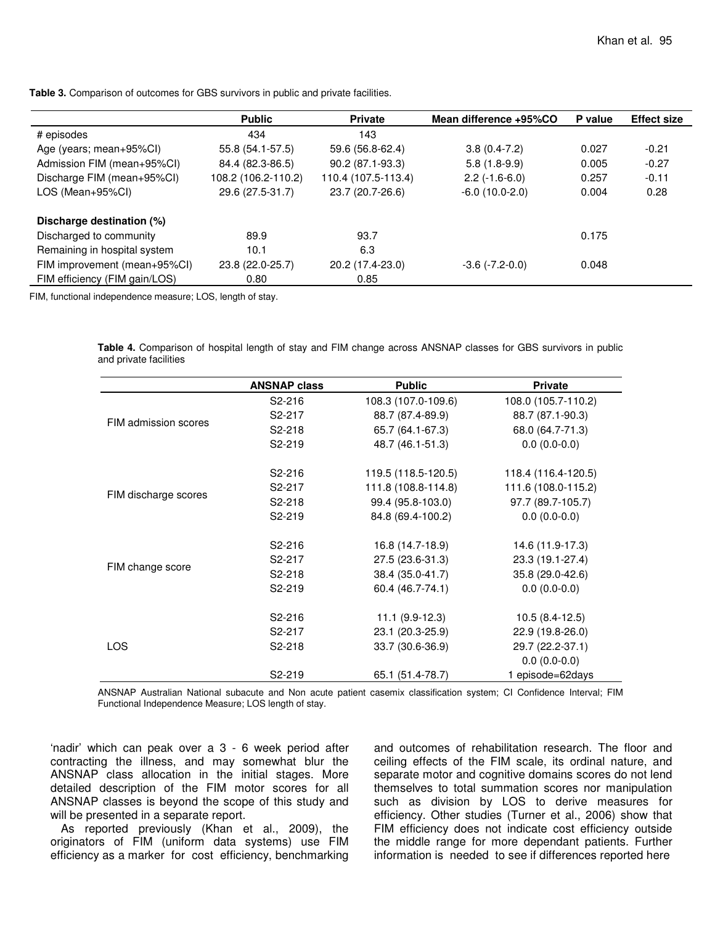|                               | <b>Public</b>       | <b>Private</b>      | Mean difference +95%CO | P value | <b>Effect size</b> |
|-------------------------------|---------------------|---------------------|------------------------|---------|--------------------|
| # episodes                    | 434                 | 143                 |                        |         |                    |
| Age (years; mean+95%CI)       | 55.8 (54.1-57.5)    | 59.6 (56.8-62.4)    | $3.8(0.4-7.2)$         | 0.027   | $-0.21$            |
| Admission FIM (mean+95%Cl)    | 84.4 (82.3-86.5)    | $90.2(87.1-93.3)$   | $5.8(1.8-9.9)$         | 0.005   | $-0.27$            |
| Discharge FIM (mean+95%CI)    | 108.2 (106.2-110.2) | 110.4 (107.5-113.4) | $2.2$ (-1.6-6.0)       | 0.257   | $-0.11$            |
| LOS (Mean+95%CI)              | 29.6 (27.5-31.7)    | 23.7 (20.7-26.6)    | $-6.0(10.0-2.0)$       | 0.004   | 0.28               |
| Discharge destination (%)     |                     |                     |                        |         |                    |
| Discharged to community       | 89.9                | 93.7                |                        | 0.175   |                    |
| Remaining in hospital system  | 10.1                | 6.3                 |                        |         |                    |
| FIM improvement (mean+95%CI)  | 23.8 (22.0-25.7)    | 20.2 (17.4-23.0)    | $-3.6$ $(-7.2-0.0)$    | 0.048   |                    |
| FIM efficiency (FIM gain/LOS) | 0.80                | 0.85                |                        |         |                    |

**Table 3.** Comparison of outcomes for GBS survivors in public and private facilities.

FIM, functional independence measure; LOS, length of stay.

**Table 4.** Comparison of hospital length of stay and FIM change across ANSNAP classes for GBS survivors in public and private facilities

|                      | <b>ANSNAP class</b> | <b>Public</b>       | <b>Private</b>      |
|----------------------|---------------------|---------------------|---------------------|
|                      | S <sub>2</sub> -216 | 108.3 (107.0-109.6) | 108.0 (105.7-110.2) |
| FIM admission scores | S <sub>2</sub> -217 | 88.7 (87.4-89.9)    | 88.7 (87.1-90.3)    |
|                      | S2-218              | 65.7 (64.1-67.3)    | 68.0 (64.7-71.3)    |
|                      | S <sub>2</sub> -219 | 48.7 (46.1-51.3)    | $0.0(0.0-0.0)$      |
|                      | S <sub>2</sub> -216 | 119.5 (118.5-120.5) | 118.4 (116.4-120.5) |
|                      | S <sub>2</sub> -217 | 111.8 (108.8-114.8) | 111.6 (108.0-115.2) |
| FIM discharge scores | S <sub>2</sub> -218 | 99.4 (95.8-103.0)   | 97.7 (89.7-105.7)   |
|                      | S <sub>2</sub> -219 | 84.8 (69.4-100.2)   | $0.0(0.0-0.0)$      |
|                      | S <sub>2</sub> -216 | 16.8 (14.7-18.9)    | 14.6 (11.9-17.3)    |
|                      | S <sub>2</sub> -217 | 27.5 (23.6-31.3)    | 23.3 (19.1-27.4)    |
| FIM change score     | S2-218              | 38.4 (35.0-41.7)    | 35.8 (29.0-42.6)    |
|                      | S2-219              | 60.4 (46.7-74.1)    | $0.0(0.0-0.0)$      |
|                      | S <sub>2</sub> -216 | $11.1 (9.9-12.3)$   | $10.5(8.4-12.5)$    |
|                      | S <sub>2</sub> -217 | 23.1 (20.3-25.9)    | 22.9 (19.8-26.0)    |
| LOS.                 | S2-218              | 33.7 (30.6-36.9)    | 29.7 (22.2-37.1)    |
|                      |                     |                     | $0.0(0.0-0.0)$      |
|                      | S <sub>2</sub> -219 | 65.1 (51.4-78.7)    | 1 episode=62days    |

ANSNAP Australian National subacute and Non acute patient casemix classification system; CI Confidence Interval; FIM Functional Independence Measure; LOS length of stay.

'nadir' which can peak over a 3 - 6 week period after contracting the illness, and may somewhat blur the ANSNAP class allocation in the initial stages. More detailed description of the FIM motor scores for all ANSNAP classes is beyond the scope of this study and will be presented in a separate report.

As reported previously (Khan et al., 2009), the originators of FIM (uniform data systems) use FIM efficiency as a marker for cost efficiency, benchmarking

and outcomes of rehabilitation research. The floor and ceiling effects of the FIM scale, its ordinal nature, and separate motor and cognitive domains scores do not lend themselves to total summation scores nor manipulation such as division by LOS to derive measures for efficiency. Other studies (Turner et al., 2006) show that FIM efficiency does not indicate cost efficiency outside the middle range for more dependant patients. Further information is needed to see if differences reported here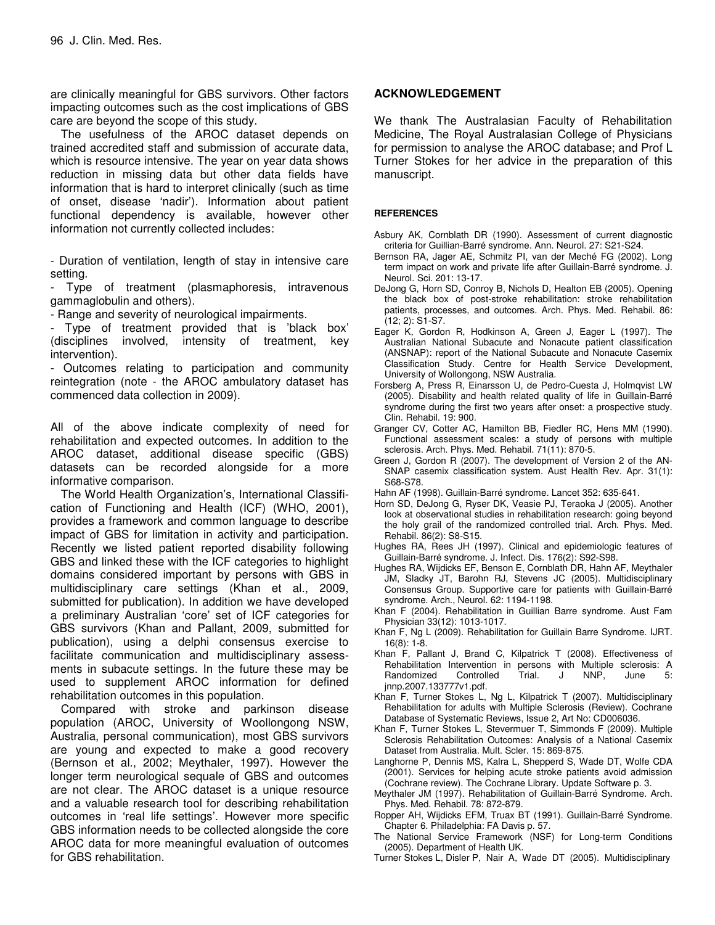are clinically meaningful for GBS survivors. Other factors impacting outcomes such as the cost implications of GBS care are beyond the scope of this study.

The usefulness of the AROC dataset depends on trained accredited staff and submission of accurate data, which is resource intensive. The year on year data shows reduction in missing data but other data fields have information that is hard to interpret clinically (such as time of onset, disease 'nadir'). Information about patient functional dependency is available, however other information not currently collected includes:

- Duration of ventilation, length of stay in intensive care setting.

Type of treatment (plasmaphoresis, intravenous gammaglobulin and others).

- Range and severity of neurological impairments.

Type of treatment provided that is 'black box' (disciplines involved, intensity of treatment, key intervention).

Outcomes relating to participation and community reintegration (note - the AROC ambulatory dataset has commenced data collection in 2009).

All of the above indicate complexity of need for rehabilitation and expected outcomes. In addition to the AROC dataset, additional disease specific (GBS) datasets can be recorded alongside for a more informative comparison.

The World Health Organization's, International Classification of Functioning and Health (ICF) (WHO, 2001), provides a framework and common language to describe impact of GBS for limitation in activity and participation. Recently we listed patient reported disability following GBS and linked these with the ICF categories to highlight domains considered important by persons with GBS in multidisciplinary care settings (Khan et al., 2009, submitted for publication). In addition we have developed a preliminary Australian 'core' set of ICF categories for GBS survivors (Khan and Pallant, 2009, submitted for publication), using a delphi consensus exercise to facilitate communication and multidisciplinary assessments in subacute settings. In the future these may be used to supplement AROC information for defined rehabilitation outcomes in this population.

Compared with stroke and parkinson disease population (AROC, University of Woollongong NSW, Australia, personal communication), most GBS survivors are young and expected to make a good recovery (Bernson et al., 2002; Meythaler, 1997). However the longer term neurological sequale of GBS and outcomes are not clear. The AROC dataset is a unique resource and a valuable research tool for describing rehabilitation outcomes in 'real life settings'. However more specific GBS information needs to be collected alongside the core AROC data for more meaningful evaluation of outcomes for GBS rehabilitation.

### **ACKNOWLEDGEMENT**

We thank The Australasian Faculty of Rehabilitation Medicine, The Royal Australasian College of Physicians for permission to analyse the AROC database; and Prof L Turner Stokes for her advice in the preparation of this manuscript.

#### **REFERENCES**

Asbury AK, Cornblath DR (1990). Assessment of current diagnostic criteria for Guillian-Barré syndrome. Ann. Neurol. 27: S21-S24.

- Bernson RA, Jager AE, Schmitz PI, van der Meché FG (2002). Long term impact on work and private life after Guillain-Barré syndrome. J. Neurol. Sci. 201: 13-17.
- DeJong G, Horn SD, Conroy B, Nichols D, Healton EB (2005). Opening the black box of post-stroke rehabilitation: stroke rehabilitation patients, processes, and outcomes. Arch. Phys. Med. Rehabil. 86: (12; 2): S1-S7.
- Eager K, Gordon R, Hodkinson A, Green J, Eager L (1997). The Australian National Subacute and Nonacute patient classification (ANSNAP): report of the National Subacute and Nonacute Casemix Classification Study. Centre for Health Service Development, University of Wollongong, NSW Australia.
- Forsberg A, Press R, Einarsson U, de Pedro-Cuesta J, Holmqvist LW (2005). Disability and health related quality of life in Guillain-Barré syndrome during the first two years after onset: a prospective study. Clin. Rehabil. 19: 900.
- Granger CV, Cotter AC, Hamilton BB, Fiedler RC, Hens MM (1990). Functional assessment scales: a study of persons with multiple sclerosis. Arch. Phys. Med. Rehabil. 71(11): 870-5.
- Green J, Gordon R (2007). The development of Version 2 of the AN-SNAP casemix classification system. Aust Health Rev. Apr. 31(1): S68-S78.
- Hahn AF (1998). Guillain-Barré syndrome. Lancet 352: 635-641.
- Horn SD, DeJong G, Ryser DK, Veasie PJ, Teraoka J (2005). Another look at observational studies in rehabilitation research: going beyond the holy grail of the randomized controlled trial. Arch. Phys. Med. Rehabil. 86(2): S8-S15.
- Hughes RA, Rees JH (1997). Clinical and epidemiologic features of Guillain-Barré syndrome. J. Infect. Dis. 176(2): S92-S98.
- Hughes RA, Wijdicks EF, Benson E, Cornblath DR, Hahn AF, Meythaler JM, Sladky JT, Barohn RJ, Stevens JC (2005). Multidisciplinary Consensus Group. Supportive care for patients with Guillain-Barré syndrome. Arch., Neurol. 62: 1194-1198.
- Khan F (2004). Rehabilitation in Guillian Barre syndrome. Aust Fam Physician 33(12): 1013-1017.
- Khan F, Ng L (2009). Rehabilitation for Guillain Barre Syndrome. IJRT. 16(8): 1-8.
- Khan F, Pallant J, Brand C, Kilpatrick T (2008). Effectiveness of Rehabilitation Intervention in persons with Multiple sclerosis: A Randomized Controlled Trial. J NNP, June jnnp.2007.133777v1.pdf.
- Khan F, Turner Stokes L, Ng L, Kilpatrick T (2007). Multidisciplinary Rehabilitation for adults with Multiple Sclerosis (Review). Cochrane Database of Systematic Reviews, Issue 2, Art No: CD006036.
- Khan F, Turner Stokes L, Stevermuer T, Simmonds F (2009). Multiple Sclerosis Rehabilitation Outcomes: Analysis of a National Casemix Dataset from Australia. Mult. Scler. 15: 869-875.
- Langhorne P, Dennis MS, Kalra L, Shepperd S, Wade DT, Wolfe CDA (2001). Services for helping acute stroke patients avoid admission (Cochrane review). The Cochrane Library. Update Software p. 3.
- Meythaler JM (1997). Rehabilitation of Guillain-Barré Syndrome. Arch. Phys. Med. Rehabil. 78: 872-879.
- Ropper AH, Wijdicks EFM, Truax BT (1991). Guillain-Barré Syndrome. Chapter 6. Philadelphia: FA Davis p. 57.
- The National Service Framework (NSF) for Long-term Conditions (2005). Department of Health UK.
- Turner Stokes L, Disler P, Nair A, Wade DT (2005). Multidisciplinary